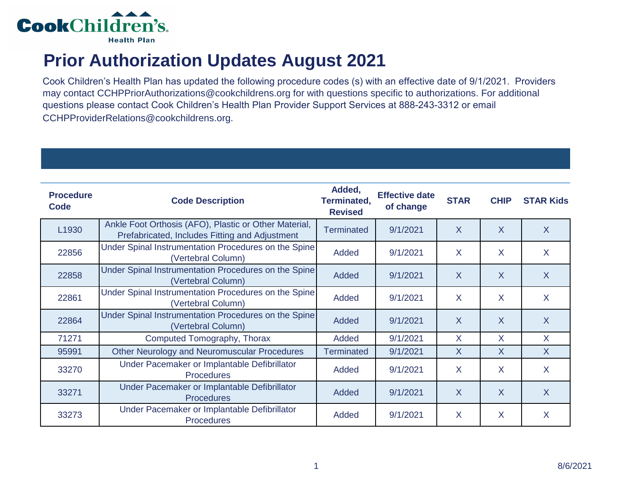

## **Prior Authorization Updates August 2021**

Cook Children's Health Plan has updated the following procedure codes (s) with an effective date of 9/1/2021. Providers may contact CCHPPriorAuthorizations@cookchildrens.org for with questions specific to authorizations. For additional questions please contact Cook Children's Health Plan Provider Support Services at 888-243-3312 or email CCHPProviderRelations@cookchildrens.org.

| <b>Procedure</b><br>Code | <b>Code Description</b>                                                                                 | Added,<br>Terminated,<br><b>Revised</b> | <b>Effective date</b><br>of change | <b>STAR</b>    | <b>CHIP</b>             | <b>STAR Kids</b> |
|--------------------------|---------------------------------------------------------------------------------------------------------|-----------------------------------------|------------------------------------|----------------|-------------------------|------------------|
| L1930                    | Ankle Foot Orthosis (AFO), Plastic or Other Material,<br>Prefabricated, Includes Fitting and Adjustment | <b>Terminated</b>                       | 9/1/2021                           | $\overline{X}$ | $\overline{\mathsf{X}}$ | X                |
| 22856                    | Under Spinal Instrumentation Procedures on the Spine<br>(Vertebral Column)                              | Added                                   | 9/1/2021                           | X              | X                       | X                |
| 22858                    | Under Spinal Instrumentation Procedures on the Spine<br>(Vertebral Column)                              | Added                                   | 9/1/2021                           | X              | $\sf X$                 | $\sf X$          |
| 22861                    | Under Spinal Instrumentation Procedures on the Spine<br>(Vertebral Column)                              | Added                                   | 9/1/2021                           | X              | X                       | X                |
| 22864                    | Under Spinal Instrumentation Procedures on the Spine<br>(Vertebral Column)                              | Added                                   | 9/1/2021                           | $\sf X$        | X                       | $\sf X$          |
| 71271                    | Computed Tomography, Thorax                                                                             | Added                                   | 9/1/2021                           | X              | X                       | $\sf X$          |
| 95991                    | Other Neurology and Neuromuscular Procedures                                                            | <b>Terminated</b>                       | 9/1/2021                           | $\sf X$        | X                       | $\sf X$          |
| 33270                    | Under Pacemaker or Implantable Defibrillator<br><b>Procedures</b>                                       | Added                                   | 9/1/2021                           | X              | X                       | X                |
| 33271                    | Under Pacemaker or Implantable Defibrillator<br><b>Procedures</b>                                       | Added                                   | 9/1/2021                           | X              | X                       | X                |
| 33273                    | Under Pacemaker or Implantable Defibrillator<br><b>Procedures</b>                                       | Added                                   | 9/1/2021                           | X              | X                       | X                |